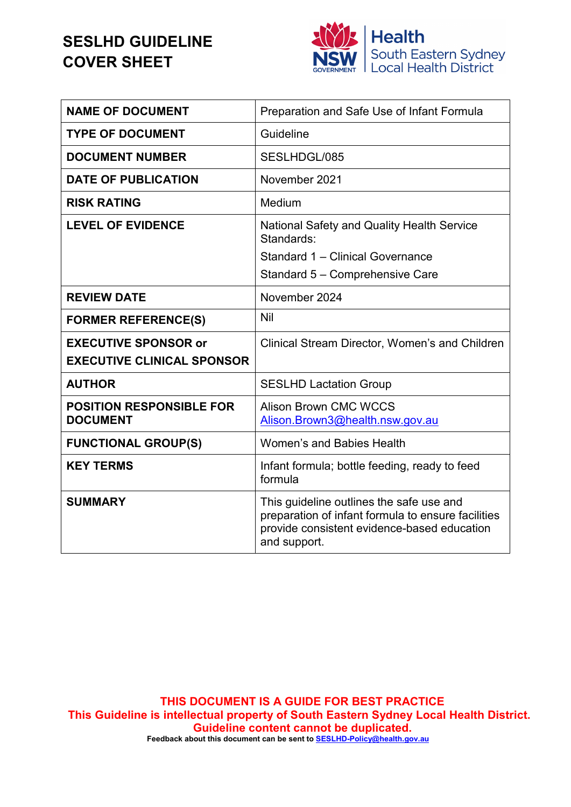## **SESLHD GUIDELINE COVER SHEET**



| <b>NAME OF DOCUMENT</b>                                          | Preparation and Safe Use of Infant Formula                                                                                                                    |
|------------------------------------------------------------------|---------------------------------------------------------------------------------------------------------------------------------------------------------------|
| <b>TYPE OF DOCUMENT</b>                                          | Guideline                                                                                                                                                     |
| <b>DOCUMENT NUMBER</b>                                           | SESLHDGL/085                                                                                                                                                  |
| <b>DATE OF PUBLICATION</b>                                       | November 2021                                                                                                                                                 |
| <b>RISK RATING</b>                                               | Medium                                                                                                                                                        |
| <b>LEVEL OF EVIDENCE</b>                                         | <b>National Safety and Quality Health Service</b><br>Standards:<br>Standard 1 - Clinical Governance<br>Standard 5 - Comprehensive Care                        |
| <b>REVIEW DATE</b>                                               | November 2024                                                                                                                                                 |
| <b>FORMER REFERENCE(S)</b>                                       | <b>Nil</b>                                                                                                                                                    |
| <b>EXECUTIVE SPONSOR or</b><br><b>EXECUTIVE CLINICAL SPONSOR</b> | Clinical Stream Director, Women's and Children                                                                                                                |
| <b>AUTHOR</b>                                                    | <b>SESLHD Lactation Group</b>                                                                                                                                 |
| <b>POSITION RESPONSIBLE FOR</b><br><b>DOCUMENT</b>               | <b>Alison Brown CMC WCCS</b><br>Alison.Brown3@health.nsw.gov.au                                                                                               |
| <b>FUNCTIONAL GROUP(S)</b>                                       | Women's and Babies Health                                                                                                                                     |
| <b>KEY TERMS</b>                                                 | Infant formula; bottle feeding, ready to feed<br>formula                                                                                                      |
| <b>SUMMARY</b>                                                   | This guideline outlines the safe use and<br>preparation of infant formula to ensure facilities<br>provide consistent evidence-based education<br>and support. |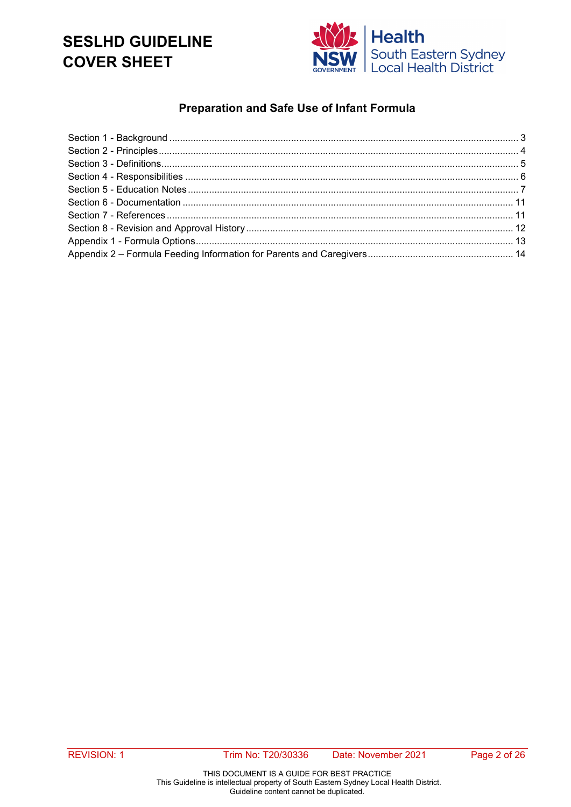## **SESLHD GUIDELINE COVER SHEET**



### **Preparation and Safe Use of Infant Formula**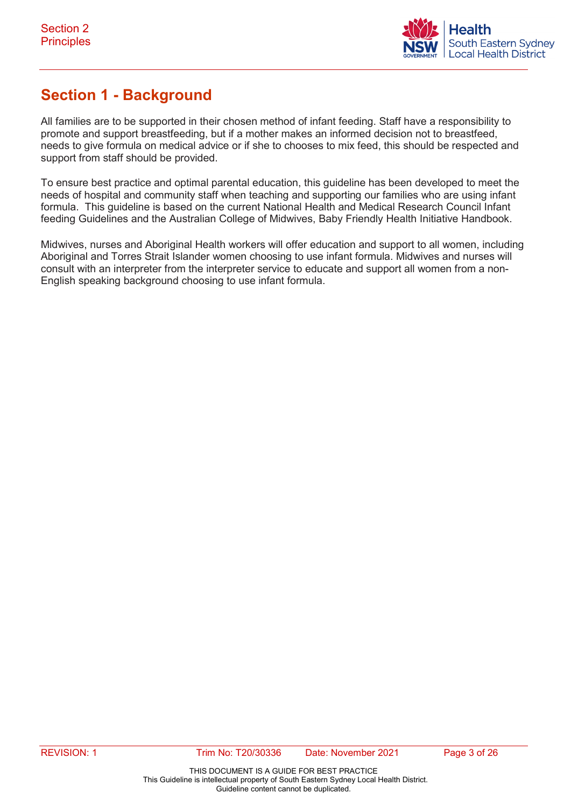

## <span id="page-2-0"></span>**Section 1 - Background**

All families are to be supported in their chosen method of infant feeding. Staff have a responsibility to promote and support breastfeeding, but if a mother makes an informed decision not to breastfeed, needs to give formula on medical advice or if she to chooses to mix feed, this should be respected and support from staff should be provided.

To ensure best practice and optimal parental education, this guideline has been developed to meet the needs of hospital and community staff when teaching and supporting our families who are using infant formula. This guideline is based on the current National Health and Medical Research Council Infant feeding Guidelines and the Australian College of Midwives, Baby Friendly Health Initiative Handbook.

Midwives, nurses and Aboriginal Health workers will offer education and support to all women, including Aboriginal and Torres Strait Islander women choosing to use infant formula. Midwives and nurses will consult with an interpreter from the interpreter service to educate and support all women from a non-English speaking background choosing to use infant formula.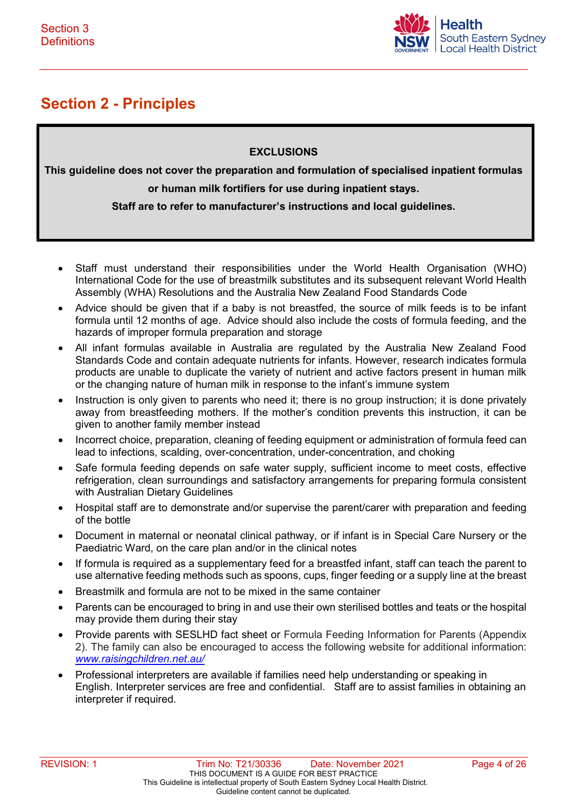

## <span id="page-3-0"></span>**Section 2 - Principles**

#### **EXCLUSIONS**

**This guideline does not cover the preparation and formulation of specialised inpatient formulas or human milk fortifiers for use during inpatient stays.** 

**Staff are to refer to manufacturer's instructions and local guidelines.**

- Staff must understand their responsibilities under the World Health Organisation (WHO) International Code for the use of breastmilk substitutes and its subsequent relevant World Health Assembly (WHA) Resolutions and the Australia New Zealand Food Standards Code
- Advice should be given that if a baby is not breastfed, the source of milk feeds is to be infant formula until 12 months of age. Advice should also include the costs of formula feeding, and the hazards of improper formula preparation and storage
- All infant formulas available in Australia are regulated by the Australia New Zealand Food Standards Code and contain adequate nutrients for infants. However, research indicates formula products are unable to duplicate the variety of nutrient and active factors present in human milk or the changing nature of human milk in response to the infant's immune system
- Instruction is only given to parents who need it; there is no group instruction; it is done privately away from breastfeeding mothers. If the mother's condition prevents this instruction, it can be given to another family member instead
- Incorrect choice, preparation, cleaning of feeding equipment or administration of formula feed can lead to infections, scalding, over-concentration, under-concentration, and choking
- Safe formula feeding depends on safe water supply, sufficient income to meet costs, effective refrigeration, clean surroundings and satisfactory arrangements for preparing formula consistent with Australian Dietary Guidelines
- Hospital staff are to demonstrate and/or supervise the parent/carer with preparation and feeding of the bottle
- Document in maternal or neonatal clinical pathway, or if infant is in Special Care Nursery or the Paediatric Ward, on the care plan and/or in the clinical notes
- If formula is required as a supplementary feed for a breastfed infant, staff can teach the parent to use alternative feeding methods such as spoons, cups, finger feeding or a supply line at the breast
- Breastmilk and formula are not to be mixed in the same container
- Parents can be encouraged to bring in and use their own sterilised bottles and teats or the hospital may provide them during their stay
- Provide parents with SESLHD fact sheet or Formula Feeding Information for Parents (Appendix 2). The family can also be encouraged to access the following website for additional information: *[www.raisingchildren.net.au/](http://www.raisingchildren.net.au/)*
- Professional interpreters are available if families need help understanding or speaking in English. Interpreter services are free and confidential. Staff are to assist families in obtaining an interpreter if required.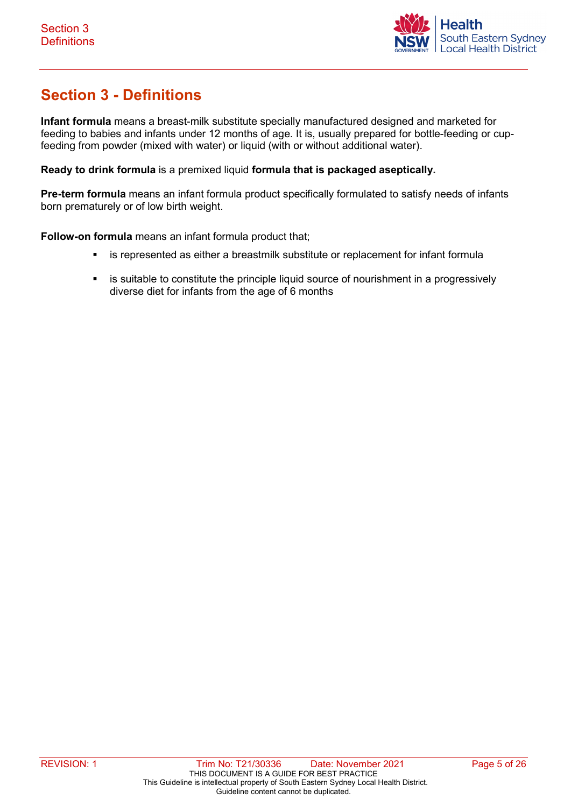

## <span id="page-4-0"></span>**Section 3 - Definitions**

**Infant formula** means a breast-milk substitute specially manufactured designed and marketed for feeding to babies and [infants](https://en.wikipedia.org/wiki/Infants) under 12 months of age. It is, usually prepared for [bottle-](https://en.wikipedia.org/wiki/Baby_bottle)feeding or cupfeeding from powder (mixed with water) or liquid (with or without additional water).

**Ready to drink formula** is a premixed liquid **formula that is packaged aseptically.** 

**Pre-term formula** means an infant formula product specifically formulated to satisfy needs of infants born prematurely or of low birth weight.

**Follow-on formula** means an infant formula product that;

- is represented as either a breastmilk substitute or replacement for infant formula
- **EXECT** is suitable to constitute the principle liquid source of nourishment in a progressively diverse diet for infants from the age of 6 months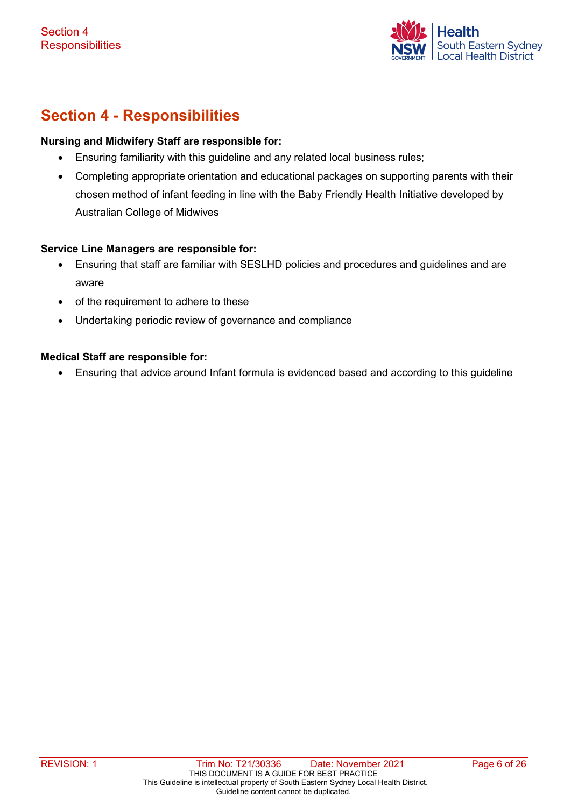

## <span id="page-5-0"></span>**Section 4 - Responsibilities**

#### **Nursing and Midwifery Staff are responsible for:**

- Ensuring familiarity with this guideline and any related local business rules;
- Completing appropriate orientation and educational packages on supporting parents with their chosen method of infant feeding in line with the Baby Friendly Health Initiative developed by Australian College of Midwives

#### **Service Line Managers are responsible for:**

- Ensuring that staff are familiar with SESLHD policies and procedures and guidelines and are aware
- of the requirement to adhere to these
- Undertaking periodic review of governance and compliance

#### **Medical Staff are responsible for:**

• Ensuring that advice around Infant formula is evidenced based and according to this guideline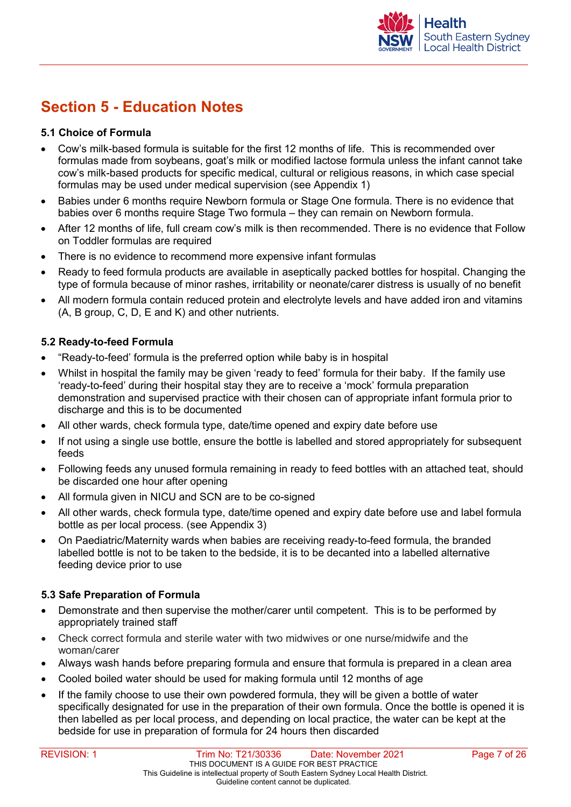

## <span id="page-6-0"></span>**Section 5 - Education Notes**

#### **5.1 Choice of Formula**

- Cow's milk-based formula is suitable for the first 12 months of life. This is recommended over formulas made from soybeans, goat's milk or modified lactose formula unless the infant cannot take cow's milk-based products for specific medical, cultural or religious reasons, in which case special formulas may be used under medical supervision (see Appendix 1)
- Babies under 6 months require Newborn formula or Stage One formula. There is no evidence that babies over 6 months require Stage Two formula – they can remain on Newborn formula.
- After 12 months of life, full cream cow's milk is then recommended. There is no evidence that Follow on Toddler formulas are required
- There is no evidence to recommend more expensive infant formulas
- Ready to feed formula products are available in aseptically packed bottles for hospital. Changing the type of formula because of minor rashes, irritability or neonate/carer distress is usually of no benefit
- All modern formula contain reduced protein and electrolyte levels and have added iron and vitamins (A, B group, C, D, E and K) and other nutrients.

#### **5.2 Ready-to-feed Formula**

- "Ready-to-feed' formula is the preferred option while baby is in hospital
- Whilst in hospital the family may be given 'ready to feed' formula for their baby. If the family use 'ready-to-feed' during their hospital stay they are to receive a 'mock' formula preparation demonstration and supervised practice with their chosen can of appropriate infant formula prior to discharge and this is to be documented
- All other wards, check formula type, date/time opened and expiry date before use
- If not using a single use bottle, ensure the bottle is labelled and stored appropriately for subsequent feeds
- Following feeds any unused formula remaining in ready to feed bottles with an attached teat, should be discarded one hour after opening
- All formula given in NICU and SCN are to be co-signed
- All other wards, check formula type, date/time opened and expiry date before use and label formula bottle as per local process. (see Appendix 3)
- On Paediatric/Maternity wards when babies are receiving ready-to-feed formula, the branded labelled bottle is not to be taken to the bedside, it is to be decanted into a labelled alternative feeding device prior to use

#### **5.3 Safe Preparation of Formula**

- Demonstrate and then supervise the mother/carer until competent. This is to be performed by appropriately trained staff
- Check correct formula and sterile water with two midwives or one nurse/midwife and the woman/carer
- Always wash hands before preparing formula and ensure that formula is prepared in a clean area
- Cooled boiled water should be used for making formula until 12 months of age
- If the family choose to use their own powdered formula, they will be given a bottle of water specifically designated for use in the preparation of their own formula. Once the bottle is opened it is then labelled as per local process, and depending on local practice, the water can be kept at the bedside for use in preparation of formula for 24 hours then discarded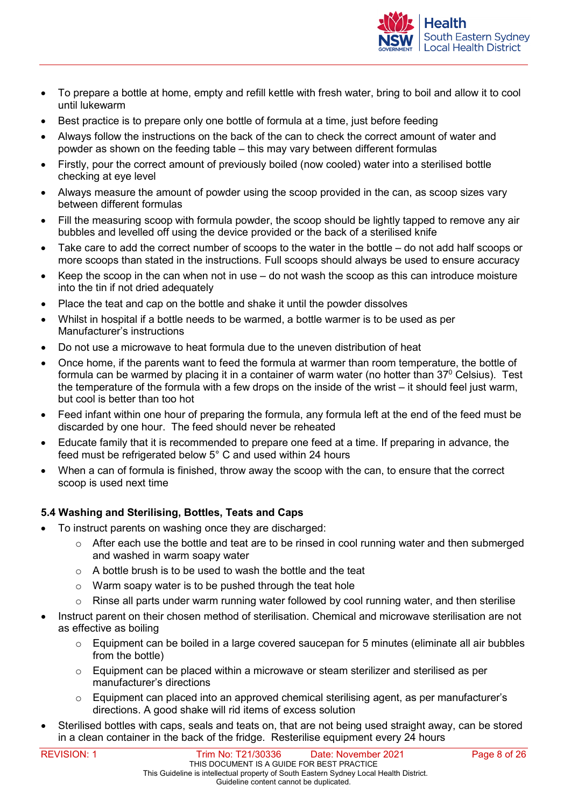

- To prepare a bottle at home, empty and refill kettle with fresh water, bring to boil and allow it to cool until lukewarm
- Best practice is to prepare only one bottle of formula at a time, just before feeding
- Always follow the instructions on the back of the can to check the correct amount of water and powder as shown on the feeding table – this may vary between different formulas
- Firstly, pour the correct amount of previously boiled (now cooled) water into a sterilised bottle checking at eye level
- Always measure the amount of powder using the scoop provided in the can, as scoop sizes vary between different formulas
- Fill the measuring scoop with formula powder, the scoop should be lightly tapped to remove any air bubbles and levelled off using the device provided or the back of a sterilised knife
- Take care to add the correct number of scoops to the water in the bottle do not add half scoops or more scoops than stated in the instructions. Full scoops should always be used to ensure accuracy
- Keep the scoop in the can when not in use do not wash the scoop as this can introduce moisture into the tin if not dried adequately
- Place the teat and cap on the bottle and shake it until the powder dissolves
- Whilst in hospital if a bottle needs to be warmed, a bottle warmer is to be used as per Manufacturer's instructions
- Do not use a microwave to heat formula due to the uneven distribution of heat
- Once home, if the parents want to feed the formula at warmer than room temperature, the bottle of formula can be warmed by placing it in a container of warm water (no hotter than  $37^{\circ}$  Celsius). Test the temperature of the formula with a few drops on the inside of the wrist – it should feel just warm, but cool is better than too hot
- Feed infant within one hour of preparing the formula, any formula left at the end of the feed must be discarded by one hour. The feed should never be reheated
- Educate family that it is recommended to prepare one feed at a time. If preparing in advance, the feed must be refrigerated below 5° C and used within 24 hours
- When a can of formula is finished, throw away the scoop with the can, to ensure that the correct scoop is used next time

#### **5.4 Washing and Sterilising, Bottles, Teats and Caps**

- To instruct parents on washing once they are discharged:
	- $\circ$  After each use the bottle and teat are to be rinsed in cool running water and then submerged and washed in warm soapy water
	- o A bottle brush is to be used to wash the bottle and the teat
	- $\circ$  Warm soapy water is to be pushed through the teat hole
	- o Rinse all parts under warm running water followed by cool running water, and then sterilise
- Instruct parent on their chosen method of sterilisation. Chemical and microwave sterilisation are not as effective as boiling
	- $\circ$  Equipment can be boiled in a large covered saucepan for 5 minutes (eliminate all air bubbles from the bottle)
	- $\circ$  Equipment can be placed within a microwave or steam sterilizer and sterilised as per manufacturer's directions
	- $\circ$  Equipment can placed into an approved chemical sterilising agent, as per manufacturer's directions. A good shake will rid items of excess solution
- Sterilised bottles with caps, seals and teats on, that are not being used straight away, can be stored in a clean container in the back of the fridge. Resterilise equipment every 24 hours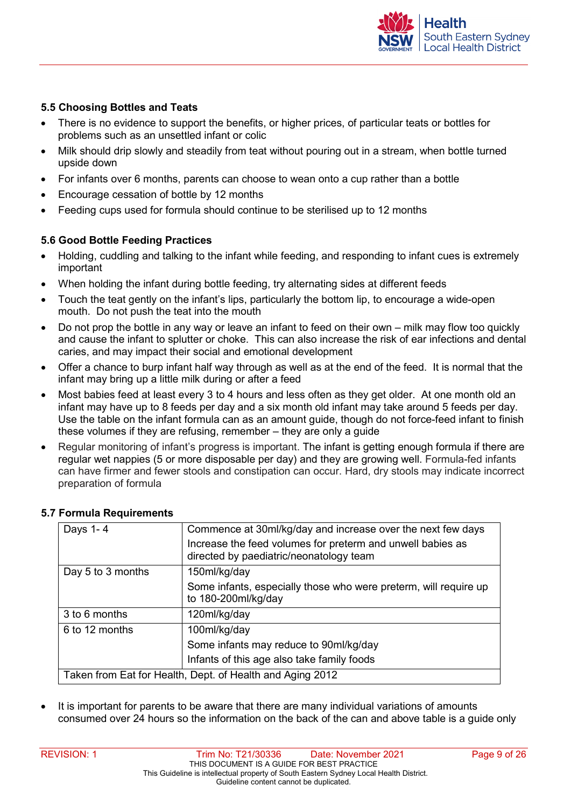

#### **5.5 Choosing Bottles and Teats**

- There is no evidence to support the benefits, or higher prices, of particular teats or bottles for problems such as an unsettled infant or colic
- Milk should drip slowly and steadily from teat without pouring out in a stream, when bottle turned upside down
- For infants over 6 months, parents can choose to wean onto a cup rather than a bottle
- Encourage cessation of bottle by 12 months
- Feeding cups used for formula should continue to be sterilised up to 12 months

#### **5.6 Good Bottle Feeding Practices**

- Holding, cuddling and talking to the infant while feeding, and responding to infant cues is extremely important
- When holding the infant during bottle feeding, try alternating sides at different feeds
- Touch the teat gently on the infant's lips, particularly the bottom lip, to encourage a wide-open mouth. Do not push the teat into the mouth
- Do not prop the bottle in any way or leave an infant to feed on their own milk may flow too quickly and cause the infant to splutter or choke. This can also increase the risk of ear infections and dental caries, and may impact their social and emotional development
- Offer a chance to burp infant half way through as well as at the end of the feed. It is normal that the infant may bring up a little milk during or after a feed
- Most babies feed at least every 3 to 4 hours and less often as they get older. At one month old an infant may have up to 8 feeds per day and a six month old infant may take around 5 feeds per day. Use the table on the infant formula can as an amount guide, though do not force-feed infant to finish these volumes if they are refusing, remember – they are only a guide
- Regular monitoring of infant's progress is important. The infant is getting enough formula if there are regular wet nappies (5 or more disposable per day) and they are growing well. Formula-fed infants can have firmer and fewer stools and constipation can occur. Hard, dry stools may indicate incorrect preparation of formula

| Days 1-4                                                  | Commence at 30ml/kg/day and increase over the next few days<br>Increase the feed volumes for preterm and unwell babies as<br>directed by paediatric/neonatology team |  |
|-----------------------------------------------------------|----------------------------------------------------------------------------------------------------------------------------------------------------------------------|--|
| Day 5 to 3 months                                         | 150ml/kg/day                                                                                                                                                         |  |
|                                                           | Some infants, especially those who were preterm, will require up<br>to 180-200ml/kg/day                                                                              |  |
| 3 to 6 months                                             | 120ml/kg/day                                                                                                                                                         |  |
| 6 to 12 months                                            | 100ml/kg/day                                                                                                                                                         |  |
|                                                           | Some infants may reduce to 90ml/kg/day                                                                                                                               |  |
|                                                           | Infants of this age also take family foods                                                                                                                           |  |
| Taken from Eat for Health, Dept. of Health and Aging 2012 |                                                                                                                                                                      |  |

#### **5.7 Formula Requirements**

It is important for parents to be aware that there are many individual variations of amounts consumed over 24 hours so the information on the back of the can and above table is a guide only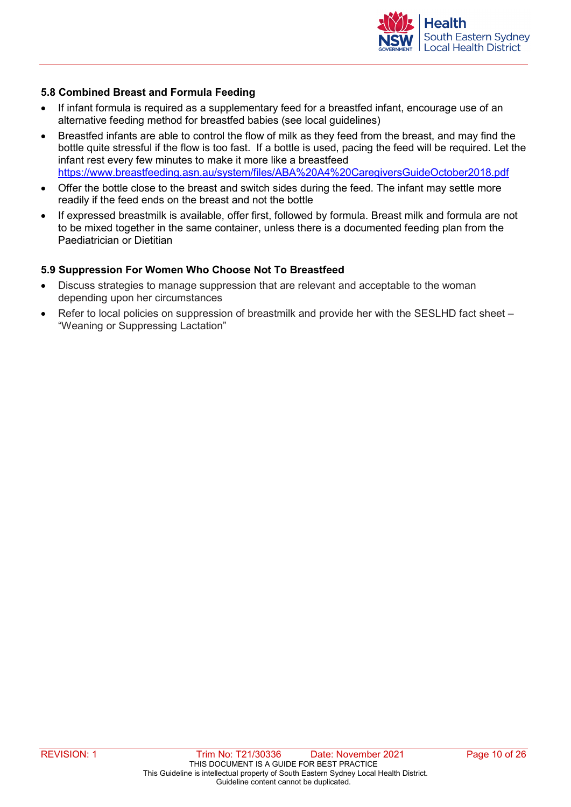

#### **5.8 Combined Breast and Formula Feeding**

- If infant formula is required as a supplementary feed for a breastfed infant, encourage use of an alternative feeding method for breastfed babies (see local guidelines)
- Breastfed infants are able to control the flow of milk as they feed from the breast, and may find the bottle quite stressful if the flow is too fast. If a bottle is used, pacing the feed will be required. Let the infant rest every few minutes to make it more like a breastfeed <https://www.breastfeeding.asn.au/system/files/ABA%20A4%20CaregiversGuideOctober2018.pdf>
- Offer the bottle close to the breast and switch sides during the feed. The infant may settle more readily if the feed ends on the breast and not the bottle
- If expressed breastmilk is available, offer first, followed by formula. Breast milk and formula are not to be mixed together in the same container, unless there is a documented feeding plan from the Paediatrician or Dietitian

#### **5.9 Suppression For Women Who Choose Not To Breastfeed**

- Discuss strategies to manage suppression that are relevant and acceptable to the woman depending upon her circumstances
- Refer to local policies on suppression of breastmilk and provide her with the SESLHD fact sheet "Weaning or Suppressing Lactation"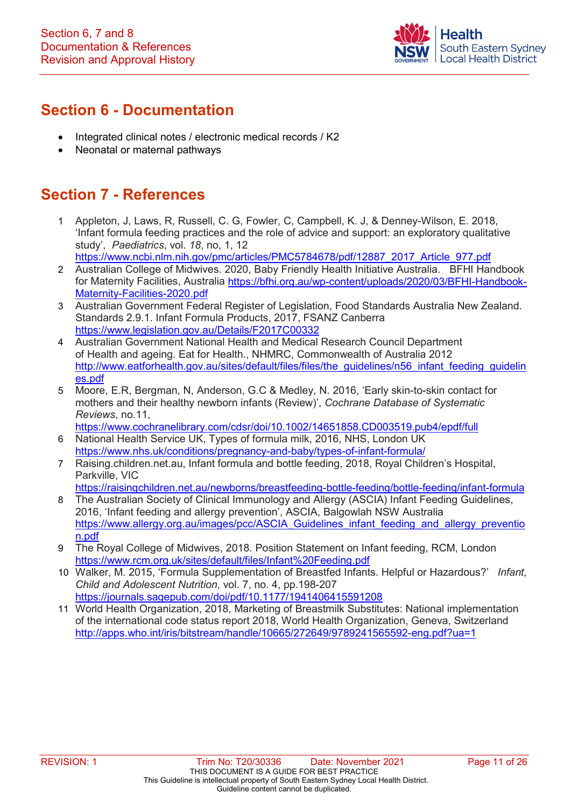

## <span id="page-10-0"></span>**Section 6 - Documentation**

- Integrated clinical notes / electronic medical records / K2
- Neonatal or maternal pathways

### <span id="page-10-1"></span>**Section 7 - References**

- 1 Appleton, J, Laws, R, Russell, C. G, Fowler, C, Campbell, K. J, & Denney-Wilson, E. 2018, 'Infant formula feeding practices and the role of advice and support: an exploratory qualitative study', *Paediatrics*, vol. *18*, no, 1, 12 [https://www.ncbi.nlm.nih.gov/pmc/articles/PMC5784678/pdf/12887\\_2017\\_Article\\_977.pdf](https://www.ncbi.nlm.nih.gov/pmc/articles/PMC5784678/pdf/12887_2017_Article_977.pdf)
- 2 Australian College of Midwives. 2020, Baby Friendly Health Initiative Australia. BFHI Handbook for Maternity Facilities, Australia [https://bfhi.org.au/wp-content/uploads/2020/03/BFHI-Handbook-](https://bfhi.org.au/wp-content/uploads/2020/03/BFHI-Handbook-Maternity-Facilities-2020.pdf)[Maternity-Facilities-2020.pdf](https://bfhi.org.au/wp-content/uploads/2020/03/BFHI-Handbook-Maternity-Facilities-2020.pdf)
- 3 Australian Government Federal Register of Legislation, Food Standards Australia New Zealand. Standards 2.9.1. Infant Formula Products, 2017, FSANZ Canberra <https://www.legislation.gov.au/Details/F2017C00332>
- 4 Australian Government National Health and Medical Research Council Department of Health and ageing. Eat for Health., NHMRC, Commonwealth of Australia 2012 [http://www.eatforhealth.gov.au/sites/default/files/files/the\\_guidelines/n56\\_infant\\_feeding\\_guidelin](http://www.eatforhealth.gov.au/sites/default/files/files/the_guidelines/n56_infant_feeding_guidelines.pdf) [es.pdf](http://www.eatforhealth.gov.au/sites/default/files/files/the_guidelines/n56_infant_feeding_guidelines.pdf)
- 5 Moore, E.R, Bergman, N, Anderson, G.C & Medley, N. 2016, 'Early skin-to-skin contact for mothers and their healthy newborn infants (Review)', *Cochrane Database of Systematic Reviews*, no.11,

<https://www.cochranelibrary.com/cdsr/doi/10.1002/14651858.CD003519.pub4/epdf/full>

- 6 National Health Service UK, Types of formula milk, 2016, NHS, London UK <https://www.nhs.uk/conditions/pregnancy-and-baby/types-of-infant-formula/>
- 7 Raising.children.net.au, Infant formula and bottle feeding, 2018, Royal Children's Hospital, Parkville, VIC
	- <https://raisingchildren.net.au/newborns/breastfeeding-bottle-feeding/bottle-feeding/infant-formula>
- 8 The Australian Society of Clinical Immunology and Allergy (ASCIA) Infant Feeding Guidelines, 2016, 'Infant feeding and allergy prevention', ASCIA, Balgowlah NSW Australia [https://www.allergy.org.au/images/pcc/ASCIA\\_Guidelines\\_infant\\_feeding\\_and\\_allergy\\_preventio](https://www.allergy.org.au/images/pcc/ASCIA_Guidelines_infant_feeding_and_allergy_prevention.pdf) [n.pdf](https://www.allergy.org.au/images/pcc/ASCIA_Guidelines_infant_feeding_and_allergy_prevention.pdf)
- 9 The Royal College of Midwives, 2018. Position Statement on Infant feeding, RCM, London <https://www.rcm.org.uk/sites/default/files/Infant%20Feeding.pdf>
- 10 Walker, M. 2015, 'Formula Supplementation of Breastfed Infants. Helpful or Hazardous?' *Infant, Child and Adolescent Nutrition,* vol. 7, no. 4, pp.198-207 <https://journals.sagepub.com/doi/pdf/10.1177/1941406415591208>
- 11 World Health Organization, 2018, Marketing of Breastmilk Substitutes: National implementation of the international code status report 2018, World Health Organization, Geneva, Switzerland <http://apps.who.int/iris/bitstream/handle/10665/272649/9789241565592-eng.pdf?ua=1>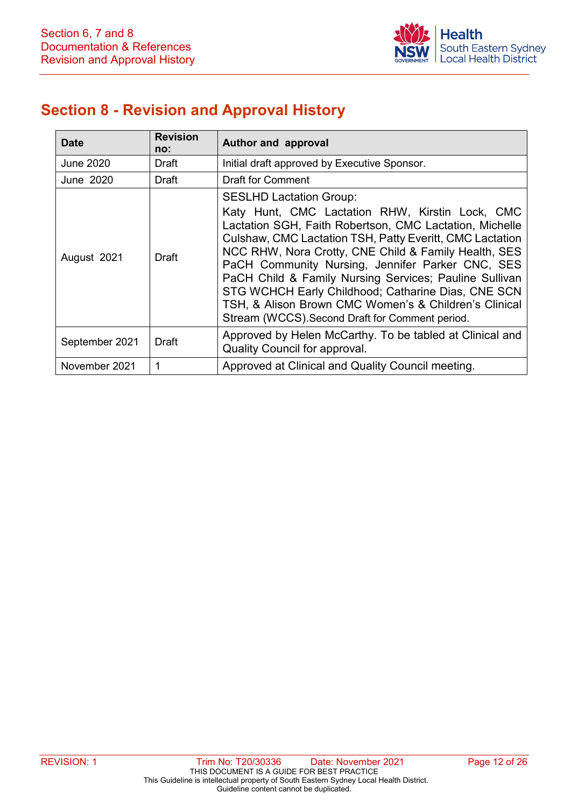

## <span id="page-11-0"></span>**Section 8 - Revision and Approval History**

| <b>Date</b>    | <b>Revision</b><br>no: | Author and approval                                                                                                                                                                                                                                                                                                                                                                                                                                                                                                                              |  |
|----------------|------------------------|--------------------------------------------------------------------------------------------------------------------------------------------------------------------------------------------------------------------------------------------------------------------------------------------------------------------------------------------------------------------------------------------------------------------------------------------------------------------------------------------------------------------------------------------------|--|
| June 2020      | Draft                  | Initial draft approved by Executive Sponsor.                                                                                                                                                                                                                                                                                                                                                                                                                                                                                                     |  |
| June 2020      | Draft                  | <b>Draft for Comment</b>                                                                                                                                                                                                                                                                                                                                                                                                                                                                                                                         |  |
| August 2021    | <b>Draft</b>           | <b>SESLHD Lactation Group:</b><br>Katy Hunt, CMC Lactation RHW, Kirstin Lock, CMC<br>Lactation SGH, Faith Robertson, CMC Lactation, Michelle<br>Culshaw, CMC Lactation TSH, Patty Everitt, CMC Lactation<br>NCC RHW, Nora Crotty, CNE Child & Family Health, SES<br>PaCH Community Nursing, Jennifer Parker CNC, SES<br>PaCH Child & Family Nursing Services; Pauline Sullivan<br>STG WCHCH Early Childhood; Catharine Dias, CNE SCN<br>TSH, & Alison Brown CMC Women's & Children's Clinical<br>Stream (WCCS). Second Draft for Comment period. |  |
| September 2021 | <b>Draft</b>           | Approved by Helen McCarthy. To be tabled at Clinical and<br>Quality Council for approval.                                                                                                                                                                                                                                                                                                                                                                                                                                                        |  |
| November 2021  | 1                      | Approved at Clinical and Quality Council meeting.                                                                                                                                                                                                                                                                                                                                                                                                                                                                                                |  |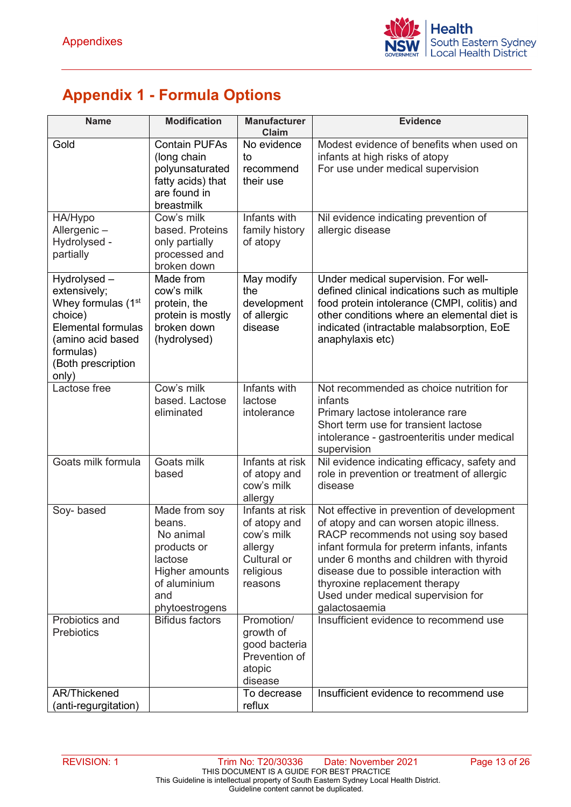## <span id="page-12-0"></span>**Appendix 1 - Formula Options**

| <b>Name</b>                                                                                                                                                            | <b>Modification</b>                                                                                                       | <b>Manufacturer</b><br>Claim                                                                    | <b>Evidence</b>                                                                                                                                                                                                                                                                                                                                             |
|------------------------------------------------------------------------------------------------------------------------------------------------------------------------|---------------------------------------------------------------------------------------------------------------------------|-------------------------------------------------------------------------------------------------|-------------------------------------------------------------------------------------------------------------------------------------------------------------------------------------------------------------------------------------------------------------------------------------------------------------------------------------------------------------|
| Gold                                                                                                                                                                   | <b>Contain PUFAs</b><br>(long chain<br>polyunsaturated<br>fatty acids) that<br>are found in<br>breastmilk                 | No evidence<br>to<br>recommend<br>their use                                                     | Modest evidence of benefits when used on<br>infants at high risks of atopy<br>For use under medical supervision                                                                                                                                                                                                                                             |
| HA/Hypo<br>Allergenic-<br>Hydrolysed -<br>partially                                                                                                                    | Cow's milk<br>based. Proteins<br>only partially<br>processed and<br>broken down                                           | Infants with<br>family history<br>of atopy                                                      | Nil evidence indicating prevention of<br>allergic disease                                                                                                                                                                                                                                                                                                   |
| Hydrolysed-<br>extensively;<br>Whey formulas (1 <sup>st</sup><br>choice)<br><b>Elemental formulas</b><br>(amino acid based<br>formulas)<br>(Both prescription<br>only) | Made from<br>cow's milk<br>protein, the<br>protein is mostly<br>broken down<br>(hydrolysed)                               | May modify<br>the<br>development<br>of allergic<br>disease                                      | Under medical supervision. For well-<br>defined clinical indications such as multiple<br>food protein intolerance (CMPI, colitis) and<br>other conditions where an elemental diet is<br>indicated (intractable malabsorption, EoE<br>anaphylaxis etc)                                                                                                       |
| Lactose free                                                                                                                                                           | Cow's milk<br>based. Lactose<br>eliminated                                                                                | Infants with<br>lactose<br>intolerance                                                          | Not recommended as choice nutrition for<br>infants<br>Primary lactose intolerance rare<br>Short term use for transient lactose<br>intolerance - gastroenteritis under medical<br>supervision                                                                                                                                                                |
| Goats milk formula                                                                                                                                                     | Goats milk<br>based                                                                                                       | Infants at risk<br>of atopy and<br>cow's milk<br>allergy                                        | Nil evidence indicating efficacy, safety and<br>role in prevention or treatment of allergic<br>disease                                                                                                                                                                                                                                                      |
| Soy-based                                                                                                                                                              | Made from soy<br>beans.<br>No animal<br>products or<br>lactose<br>Higher amounts<br>of aluminium<br>and<br>phytoestrogens | Infants at risk<br>of atopy and<br>cow's milk<br>allergy<br>Cultural or<br>religious<br>reasons | Not effective in prevention of development<br>of atopy and can worsen atopic illness.<br>RACP recommends not using soy based<br>infant formula for preterm infants, infants<br>under 6 months and children with thyroid<br>disease due to possible interaction with<br>thyroxine replacement therapy<br>Used under medical supervision for<br>galactosaemia |
| Probiotics and<br>Prebiotics                                                                                                                                           | <b>Bifidus factors</b>                                                                                                    | Promotion/<br>growth of<br>good bacteria<br>Prevention of<br>atopic<br>disease                  | Insufficient evidence to recommend use                                                                                                                                                                                                                                                                                                                      |
| <b>AR/Thickened</b><br>(anti-regurgitation)                                                                                                                            |                                                                                                                           | To decrease<br>reflux                                                                           | Insufficient evidence to recommend use                                                                                                                                                                                                                                                                                                                      |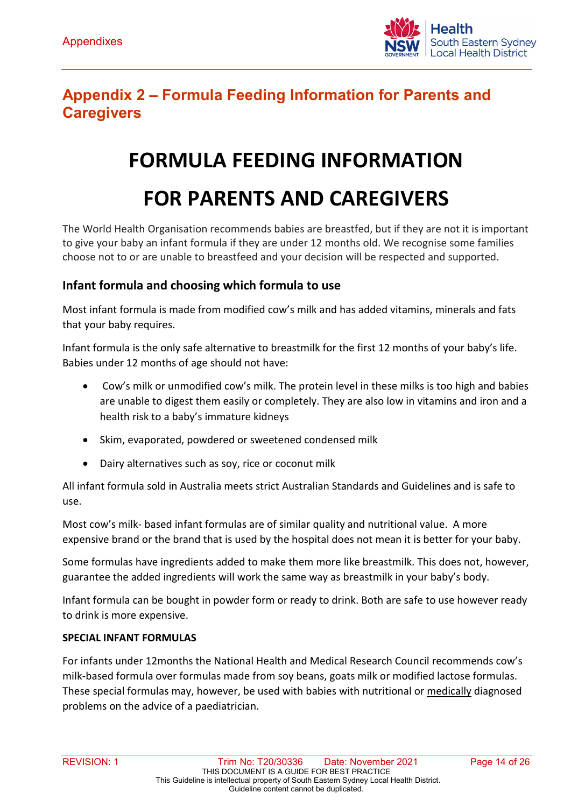

## <span id="page-13-0"></span>**Appendix 2 – Formula Feeding Information for Parents and Caregivers**

## **FORMULA FEEDING INFORMATION**

## **FOR PARENTS AND CAREGIVERS**

The World Health Organisation recommends babies are breastfed, but if they are not it is important to give your baby an infant formula if they are under 12 months old. We recognise some families choose not to or are unable to breastfeed and your decision will be respected and supported.

#### **Infant formula and choosing which formula to use**

Most infant formula is made from modified cow's milk and has added vitamins, minerals and fats that your baby requires.

Infant formula is the only safe alternative to breastmilk for the first 12 months of your baby's life. Babies under 12 months of age should not have:

- Cow's milk or unmodified cow's milk. The protein level in these milks is too high and babies are unable to digest them easily or completely. They are also low in vitamins and iron and a health risk to a baby's immature kidneys
- Skim, evaporated, powdered or sweetened condensed milk
- Dairy alternatives such as soy, rice or coconut milk

All infant formula sold in Australia meets strict Australian Standards and Guidelines and is safe to use.

Most cow's milk- based infant formulas are of similar quality and nutritional value. A more expensive brand or the brand that is used by the hospital does not mean it is better for your baby.

Some formulas have ingredients added to make them more like breastmilk. This does not, however, guarantee the added ingredients will work the same way as breastmilk in your baby's body.

Infant formula can be bought in powder form or ready to drink. Both are safe to use however ready to drink is more expensive.

#### **SPECIAL INFANT FORMULAS**

For infants under 12months the National Health and Medical Research Council recommends cow's milk-based formula over formulas made from soy beans, goats milk or modified lactose formulas. These special formulas may, however, be used with babies with nutritional or medically diagnosed problems on the advice of a paediatrician.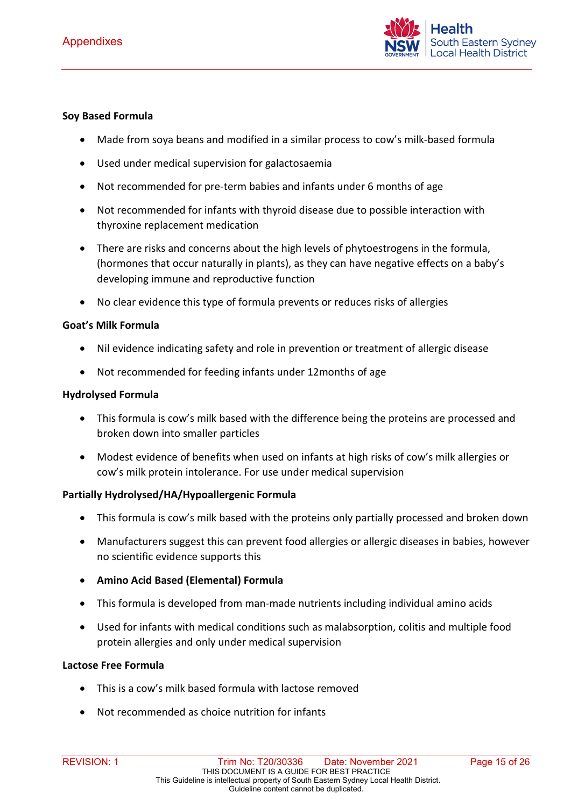

#### **Soy Based Formula**

- Made from soya beans and modified in a similar process to cow's milk-based formula
- Used under medical supervision for galactosaemia
- Not recommended for pre-term babies and infants under 6 months of age
- Not recommended for infants with thyroid disease due to possible interaction with thyroxine replacement medication
- There are risks and concerns about the high levels of phytoestrogens in the formula, (hormones that occur naturally in plants), as they can have negative effects on a baby's developing immune and reproductive function
- No clear evidence this type of formula prevents or reduces risks of allergies

#### **Goat's Milk Formula**

- Nil evidence indicating safety and role in prevention or treatment of allergic disease
- Not recommended for feeding infants under 12months of age

#### **Hydrolysed Formula**

- This formula is cow's milk based with the difference being the proteins are processed and broken down into smaller particles
- Modest evidence of benefits when used on infants at high risks of cow's milk allergies or cow's milk protein intolerance. For use under medical supervision

#### **Partially Hydrolysed/HA/Hypoallergenic Formula**

- This formula is cow's milk based with the proteins only partially processed and broken down
- Manufacturers suggest this can prevent food allergies or allergic diseases in babies, however no scientific evidence supports this
- **Amino Acid Based (Elemental) Formula**
- This formula is developed from man-made nutrients including individual amino acids
- Used for infants with medical conditions such as malabsorption, colitis and multiple food protein allergies and only under medical supervision

#### **Lactose Free Formula**

- This is a cow's milk based formula with lactose removed
- Not recommended as choice nutrition for infants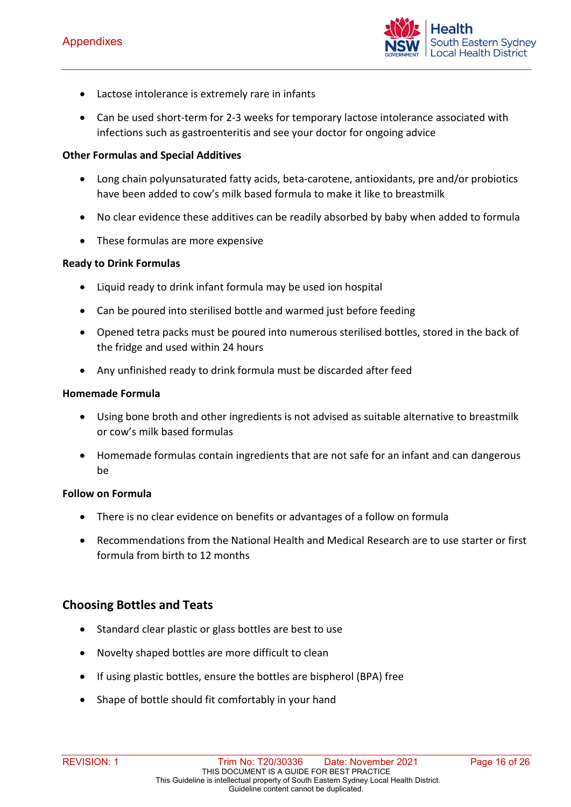

- Lactose intolerance is extremely rare in infants
- Can be used short-term for 2-3 weeks for temporary lactose intolerance associated with infections such as gastroenteritis and see your doctor for ongoing advice

#### **Other Formulas and Special Additives**

- Long chain polyunsaturated fatty acids, beta-carotene, antioxidants, pre and/or probiotics have been added to cow's milk based formula to make it like to breastmilk
- No clear evidence these additives can be readily absorbed by baby when added to formula
- These formulas are more expensive

#### **Ready to Drink Formulas**

- Liquid ready to drink infant formula may be used ion hospital
- Can be poured into sterilised bottle and warmed just before feeding
- Opened tetra packs must be poured into numerous sterilised bottles, stored in the back of the fridge and used within 24 hours
- Any unfinished ready to drink formula must be discarded after feed

#### **Homemade Formula**

- Using bone broth and other ingredients is not advised as suitable alternative to breastmilk or cow's milk based formulas
- Homemade formulas contain ingredients that are not safe for an infant and can dangerous be

#### **Follow on Formula**

- There is no clear evidence on benefits or advantages of a follow on formula
- Recommendations from the National Health and Medical Research are to use starter or first formula from birth to 12 months

#### **Choosing Bottles and Teats**

- Standard clear plastic or glass bottles are best to use
- Novelty shaped bottles are more difficult to clean
- If using plastic bottles, ensure the bottles are bispherol (BPA) free
- Shape of bottle should fit comfortably in your hand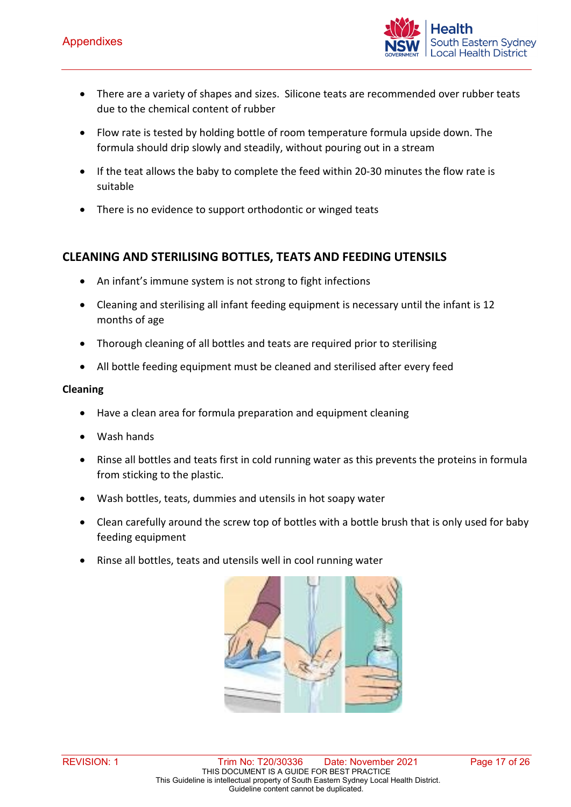

- There are a variety of shapes and sizes. Silicone teats are recommended over rubber teats due to the chemical content of rubber
- Flow rate is tested by holding bottle of room temperature formula upside down. The formula should drip slowly and steadily, without pouring out in a stream
- If the teat allows the baby to complete the feed within 20-30 minutes the flow rate is suitable
- There is no evidence to support orthodontic or winged teats

#### **CLEANING AND STERILISING BOTTLES, TEATS AND FEEDING UTENSILS**

- An infant's immune system is not strong to fight infections
- Cleaning and sterilising all infant feeding equipment is necessary until the infant is 12 months of age
- Thorough cleaning of all bottles and teats are required prior to sterilising
- All bottle feeding equipment must be cleaned and sterilised after every feed

#### **Cleaning**

- Have a clean area for formula preparation and equipment cleaning
- Wash hands
- Rinse all bottles and teats first in cold running water as this prevents the proteins in formula from sticking to the plastic.
- Wash bottles, teats, dummies and utensils in hot soapy water
- Clean carefully around the screw top of bottles with a bottle brush that is only used for baby feeding equipment
- Rinse all bottles, teats and utensils well in cool running water

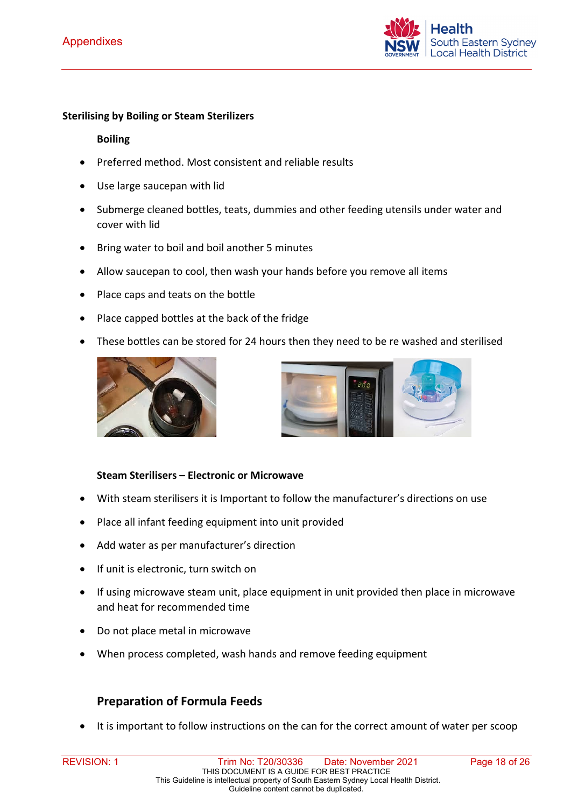

#### **Sterilising by Boiling or Steam Sterilizers**

#### **Boiling**

- Preferred method. Most consistent and reliable results
- Use large saucepan with lid
- Submerge cleaned bottles, teats, dummies and other feeding utensils under water and cover with lid
- Bring water to boil and boil another 5 minutes
- Allow saucepan to cool, then wash your hands before you remove all items
- Place caps and teats on the bottle
- Place capped bottles at the back of the fridge
- These bottles can be stored for 24 hours then they need to be re washed and sterilised





#### **Steam Sterilisers – Electronic or Microwave**

- With steam sterilisers it is Important to follow the manufacturer's directions on use
- Place all infant feeding equipment into unit provided
- Add water as per manufacturer's direction
- If unit is electronic, turn switch on
- If using microwave steam unit, place equipment in unit provided then place in microwave and heat for recommended time
- Do not place metal in microwave
- When process completed, wash hands and remove feeding equipment

#### **Preparation of Formula Feeds**

It is important to follow instructions on the can for the correct amount of water per scoop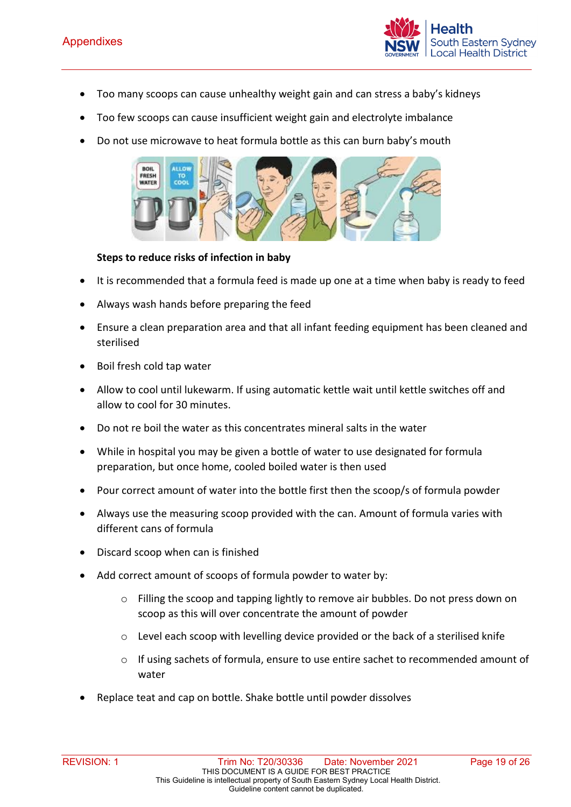

- Too many scoops can cause unhealthy weight gain and can stress a baby's kidneys
- Too few scoops can cause insufficient weight gain and electrolyte imbalance
- Do not use microwave to heat formula bottle as this can burn baby's mouth



#### **Steps to reduce risks of infection in baby**

- It is recommended that a formula feed is made up one at a time when baby is ready to feed
- Always wash hands before preparing the feed
- Ensure a clean preparation area and that all infant feeding equipment has been cleaned and sterilised
- Boil fresh cold tap water
- Allow to cool until lukewarm. If using automatic kettle wait until kettle switches off and allow to cool for 30 minutes.
- Do not re boil the water as this concentrates mineral salts in the water
- While in hospital you may be given a bottle of water to use designated for formula preparation, but once home, cooled boiled water is then used
- Pour correct amount of water into the bottle first then the scoop/s of formula powder
- Always use the measuring scoop provided with the can. Amount of formula varies with different cans of formula
- Discard scoop when can is finished
- Add correct amount of scoops of formula powder to water by:
	- o Filling the scoop and tapping lightly to remove air bubbles. Do not press down on scoop as this will over concentrate the amount of powder
	- $\circ$  Level each scoop with levelling device provided or the back of a sterilised knife
	- o If using sachets of formula, ensure to use entire sachet to recommended amount of water
- Replace teat and cap on bottle. Shake bottle until powder dissolves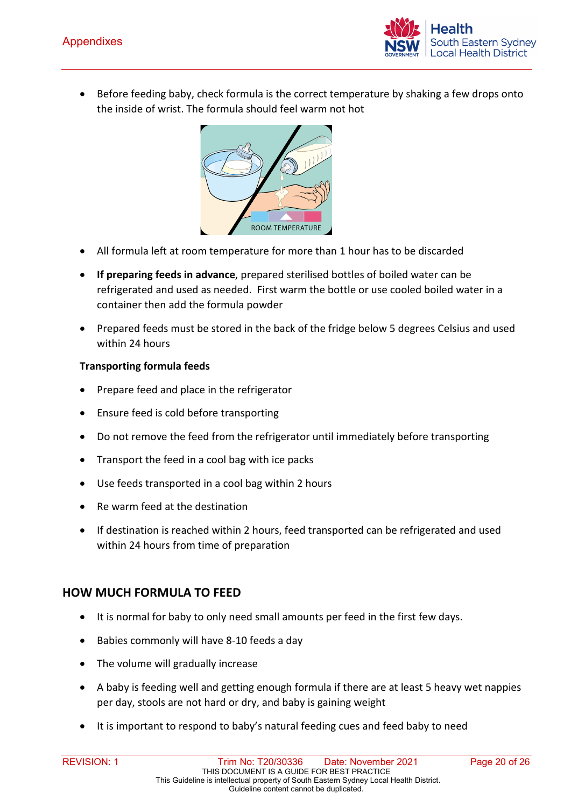

• Before feeding baby, check formula is the correct temperature by shaking a few drops onto the inside of wrist. The formula should feel warm not hot



- All formula left at room temperature for more than 1 hour has to be discarded
- **If preparing feeds in advance**, prepared sterilised bottles of boiled water can be refrigerated and used as needed. First warm the bottle or use cooled boiled water in a container then add the formula powder
- Prepared feeds must be stored in the back of the fridge below 5 degrees Celsius and used within 24 hours

#### **Transporting formula feeds**

- Prepare feed and place in the refrigerator
- Ensure feed is cold before transporting
- Do not remove the feed from the refrigerator until immediately before transporting
- Transport the feed in a cool bag with ice packs
- Use feeds transported in a cool bag within 2 hours
- Re warm feed at the destination
- If destination is reached within 2 hours, feed transported can be refrigerated and used within 24 hours from time of preparation

#### **HOW MUCH FORMULA TO FEED**

- It is normal for baby to only need small amounts per feed in the first few days.
- Babies commonly will have 8-10 feeds a day
- The volume will gradually increase
- A baby is feeding well and getting enough formula if there are at least 5 heavy wet nappies per day, stools are not hard or dry, and baby is gaining weight
- It is important to respond to baby's natural feeding cues and feed baby to need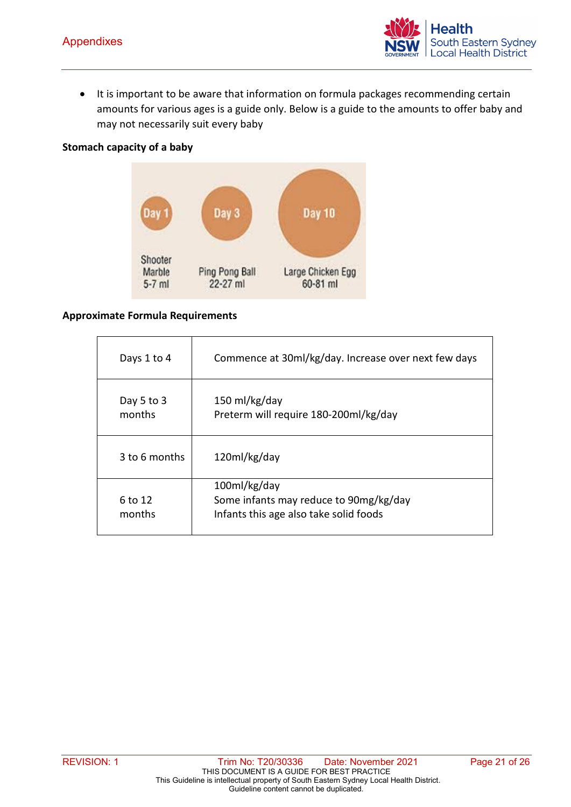

• It is important to be aware that information on formula packages recommending certain amounts for various ages is a guide only. Below is a guide to the amounts to offer baby and may not necessarily suit every baby

#### **Stomach capacity of a baby**



#### **Approximate Formula Requirements**

| Days 1 to 4          | Commence at 30ml/kg/day. Increase over next few days                                             |
|----------------------|--------------------------------------------------------------------------------------------------|
|                      |                                                                                                  |
| Day 5 to 3<br>months | 150 ml/kg/day<br>Preterm will require 180-200ml/kg/day                                           |
| 3 to 6 months        | 120ml/kg/day                                                                                     |
| 6 to 12<br>months    | 100ml/kg/day<br>Some infants may reduce to 90mg/kg/day<br>Infants this age also take solid foods |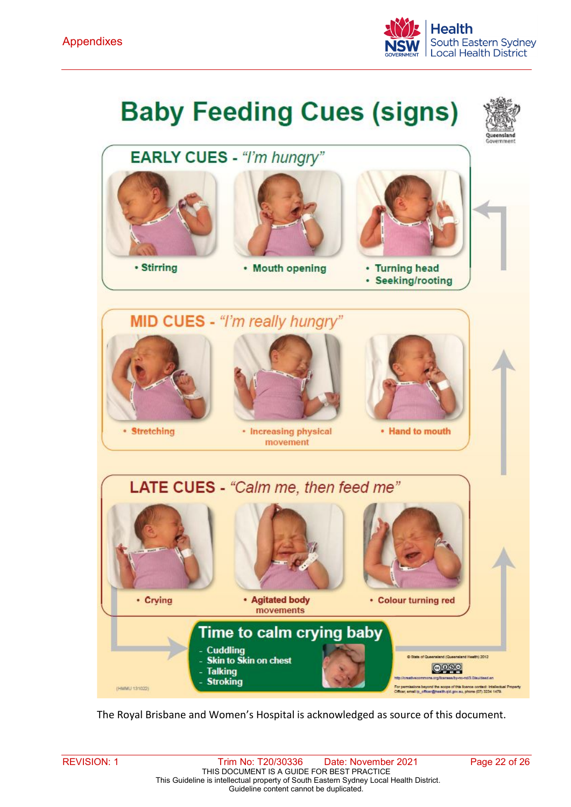

# **Baby Feeding Cues (signs)**



The Royal Brisbane and Women's Hospital is acknowledged as source of this document.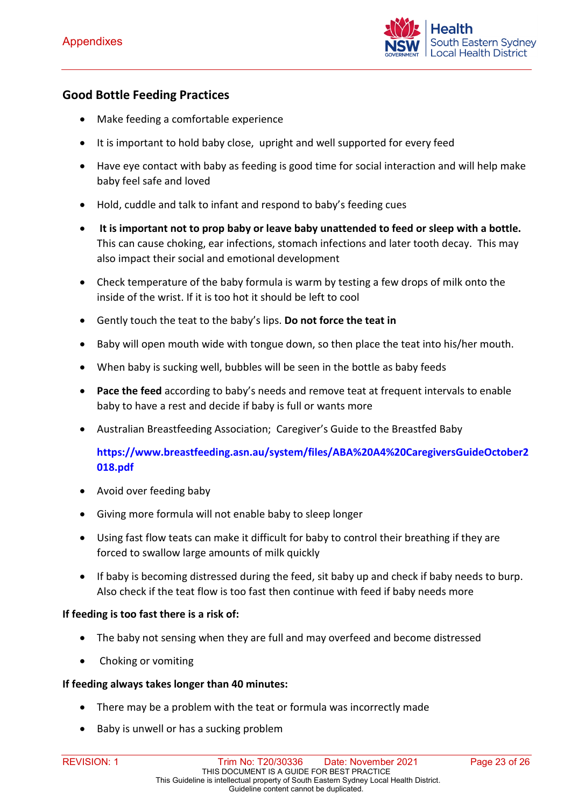

#### **Good Bottle Feeding Practices**

- Make feeding a comfortable experience
- It is important to hold baby close, upright and well supported for every feed
- Have eye contact with baby as feeding is good time for social interaction and will help make baby feel safe and loved
- Hold, cuddle and talk to infant and respond to baby's feeding cues
- **It is important not to prop baby or leave baby unattended to feed or sleep with a bottle.**  This can cause choking, ear infections, stomach infections and later tooth decay. This may also impact their social and emotional development
- Check temperature of the baby formula is warm by testing a few drops of milk onto the inside of the wrist. If it is too hot it should be left to cool
- Gently touch the teat to the baby's lips. **Do not force the teat in**
- Baby will open mouth wide with tongue down, so then place the teat into his/her mouth.
- When baby is sucking well, bubbles will be seen in the bottle as baby feeds
- **Pace the feed** according to baby's needs and remove teat at frequent intervals to enable baby to have a rest and decide if baby is full or wants more
- Australian Breastfeeding Association;Caregiver's Guide to the Breastfed Baby

**[https://www.breastfeeding.asn.au/system/files/ABA%20A4%20CaregiversGuideOctober2](https://www.breastfeeding.asn.au/system/files/ABA%20A4%20CaregiversGuideOctober2018.pdf) [018.pdf](https://www.breastfeeding.asn.au/system/files/ABA%20A4%20CaregiversGuideOctober2018.pdf)**

- Avoid over feeding baby
- Giving more formula will not enable baby to sleep longer
- Using fast flow teats can make it difficult for baby to control their breathing if they are forced to swallow large amounts of milk quickly
- If baby is becoming distressed during the feed, sit baby up and check if baby needs to burp. Also check if the teat flow is too fast then continue with feed if baby needs more

#### **If feeding is too fast there is a risk of:**

- The baby not sensing when they are full and may overfeed and become distressed
- Choking or vomiting

#### **If feeding always takes longer than 40 minutes:**

- There may be a problem with the teat or formula was incorrectly made
- Baby is unwell or has a sucking problem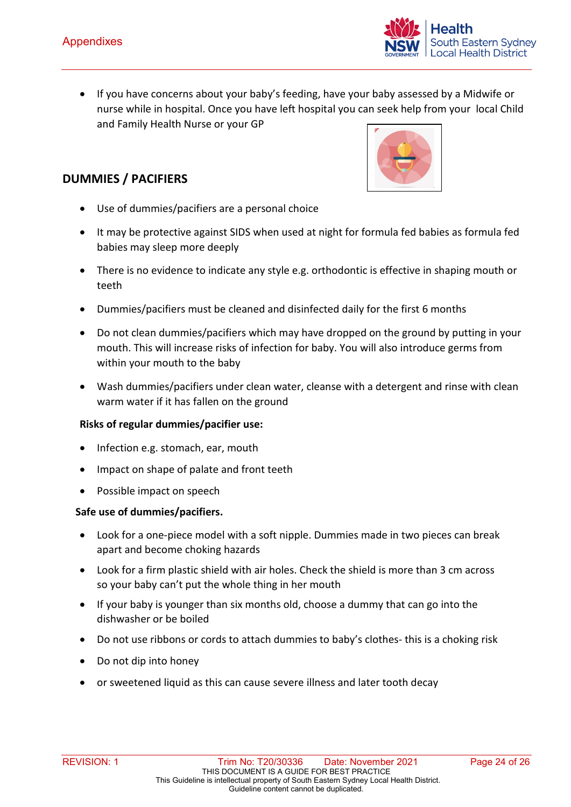- outh Eastern Sydney ocal Health District
- If you have concerns about your baby's feeding, have your baby assessed by a Midwife or nurse while in hospital. Once you have left hospital you can seek help from your local Child and Family Health Nurse or your GP

#### **DUMMIES / PACIFIERS**

- Use of dummies/pacifiers are a personal choice
- It may be protective against SIDS when used at night for formula fed babies as formula fed babies may sleep more deeply
- There is no evidence to indicate any style e.g. orthodontic is effective in shaping mouth or teeth
- Dummies/pacifiers must be cleaned and disinfected daily for the first 6 months
- Do not clean dummies/pacifiers which may have dropped on the ground by putting in your mouth. This will increase risks of infection for baby. You will also introduce germs from within your mouth to the baby
- Wash dummies/pacifiers under clean water, cleanse with a detergent and rinse with clean warm water if it has fallen on the ground

#### **Risks of regular dummies/pacifier use:**

- Infection e.g. stomach, ear, mouth
- Impact on shape of palate and front teeth
- Possible impact on speech

#### **Safe use of dummies/pacifiers.**

- Look for a one-piece model with a soft nipple. Dummies made in two pieces can break apart and become choking hazards
- Look for a firm plastic shield with air holes. Check the shield is more than 3 cm across so your baby can't put the whole thing in her mouth
- If your baby is younger than six months old, choose a dummy that can go into the dishwasher or be boiled
- Do not use ribbons or cords to attach dummies to baby's clothes- this is a choking risk
- Do not dip into honey
- or sweetened liquid as this can cause severe illness and later tooth decay

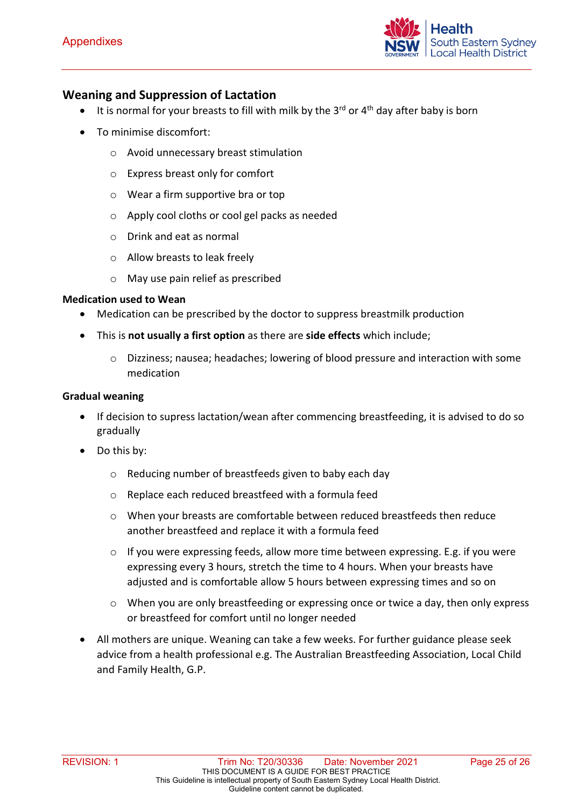

#### **Weaning and Suppression of Lactation**

- It is normal for your breasts to fill with milk by the  $3^{rd}$  or  $4^{th}$  day after baby is born
- To minimise discomfort:
	- o Avoid unnecessary breast stimulation
	- o Express breast only for comfort
	- o Wear a firm supportive bra or top
	- o Apply cool cloths or cool gel packs as needed
	- o Drink and eat as normal
	- o Allow breasts to leak freely
	- o May use pain relief as prescribed

#### **Medication used to Wean**

- Medication can be prescribed by the doctor to suppress breastmilk production
- This is **not usually a first option** as there are **side effects** which include;
	- o Dizziness; nausea; headaches; lowering of blood pressure and interaction with some medication

#### **Gradual weaning**

- If decision to supress lactation/wean after commencing breastfeeding, it is advised to do so gradually
- Do this by:
	- o Reducing number of breastfeeds given to baby each day
	- o Replace each reduced breastfeed with a formula feed
	- o When your breasts are comfortable between reduced breastfeeds then reduce another breastfeed and replace it with a formula feed
	- $\circ$  If you were expressing feeds, allow more time between expressing. E.g. if you were expressing every 3 hours, stretch the time to 4 hours. When your breasts have adjusted and is comfortable allow 5 hours between expressing times and so on
	- $\circ$  When you are only breastfeeding or expressing once or twice a day, then only express or breastfeed for comfort until no longer needed
- All mothers are unique. Weaning can take a few weeks. For further guidance please seek advice from a health professional e.g. The Australian Breastfeeding Association, Local Child and Family Health, G.P.